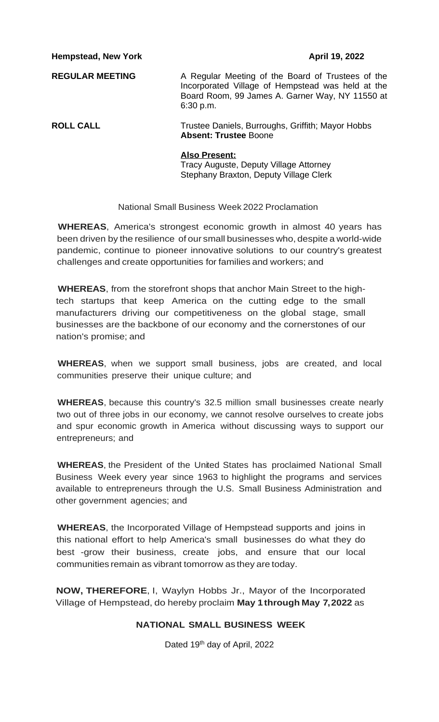**Hempstead, New York April 19, 2022** 

**REGULAR MEETING** A Regular Meeting of the Board of Trustees of the Incorporated Village of Hempstead was held at the Board Room, 99 James A. Garner Way, NY 11550 at 6:30 p.m.

**ROLL CALL** Trustee Daniels, Burroughs, Griffith; Mayor Hobbs **Absent: Trustee** Boone

### **Also Present:**

Tracy Auguste, Deputy Village Attorney Stephany Braxton, Deputy Village Clerk

### National Small Business Week 2022 Proclamation

**WHEREAS**, America's strongest economic growth in almost 40 years has been driven by the resilience of our small businesses who, despite a world-wide pandemic, continue to pioneer innovative solutions to our country's greatest challenges and create opportunities for families and workers; and

**WHEREAS**, from the storefront shops that anchor Main Street to the hightech startups that keep America on the cutting edge to the small manufacturers driving our competitiveness on the global stage, small businesses are the backbone of our economy and the cornerstones of our nation's promise; and

**WHEREAS**, when we support small business, jobs are created, and local communities preserve their unique culture; and

**WHEREAS**, because this country's 32.5 million small businesses create nearly two out of three jobs in our economy, we cannot resolve ourselves to create jobs and spur economic growth in America without discussing ways to support our entrepreneurs; and

**WHEREAS**, the President of the United States has proclaimed National Small Business Week every year since 1963 to highlight the programs and services available to entrepreneurs through the U.S. Small Business Administration and other government agencies; and

**WHEREAS**, the Incorporated Village of Hempstead supports and joins in this national effort to help America's small businesses do what they do best -grow their business, create jobs, and ensure that our local communities remain as vibrant tomorrow as they are today.

**NOW, THEREFORE**, I, Waylyn Hobbs Jr., Mayor of the Incorporated Village of Hempstead, do hereby proclaim **May 1through May 7,2022** as

### **NATIONAL SMALL BUSINESS WEEK**

Dated 19<sup>th</sup> day of April, 2022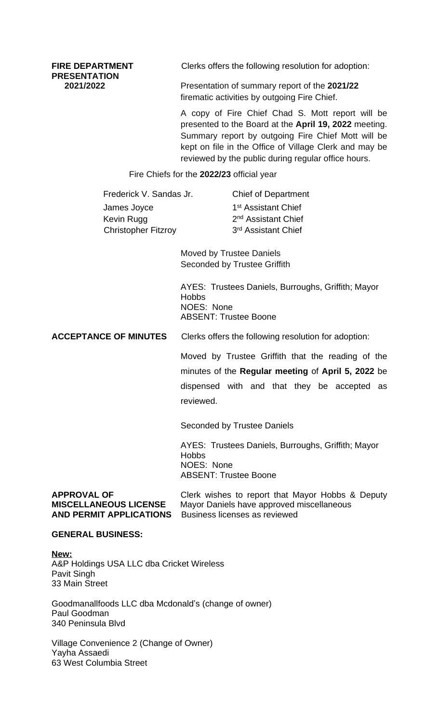**PRESENTATION**

**FIRE DEPARTMENT** Clerks offers the following resolution for adoption:

**2021/2022** Presentation of summary report of the **2021/22** firematic activities by outgoing Fire Chief.

> A copy of Fire Chief Chad S. Mott report will be presented to the Board at the **April 19, 2022** meeting. Summary report by outgoing Fire Chief Mott will be kept on file in the Office of Village Clerk and may be reviewed by the public during regular office hours.

Fire Chiefs for the **2022/23** official year

Frederick V. Sandas Jr. Chief of Department James Joyce 1 Kevin Rugg Christopher Fitzroy 3

1<sup>st</sup> Assistant Chief 2<sup>nd</sup> Assistant Chief 3<sup>rd</sup> Assistant Chief

Moved by Trustee Daniels Seconded by Trustee Griffith

AYES: Trustees Daniels, Burroughs, Griffith; Mayor Hobbs NOES: None ABSENT: Trustee Boone

**ACCEPTANCE OF MINUTES** Clerks offers the following resolution for adoption:

Moved by Trustee Griffith that the reading of the minutes of the **Regular meeting** of **April 5, 2022** be dispensed with and that they be accepted as reviewed.

Seconded by Trustee Daniels

AYES: Trustees Daniels, Burroughs, Griffith; Mayor **Hobbs** NOES: None ABSENT: Trustee Boone

**AND PERMIT APPLICATIONS** Business licenses as reviewed

**APPROVAL OF** Clerk wishes to report that Mayor Hobbs & Deputy<br>**MISCELLANEOUS LICENSE** Mayor Daniels have approved miscellaneous **Mayor Daniels have approved miscellaneous** 

### **GENERAL BUSINESS:**

**New:** A&P Holdings USA LLC dba Cricket Wireless Pavit Singh 33 Main Street

Goodmanallfoods LLC dba Mcdonald's (change of owner) Paul Goodman 340 Peninsula Blvd

Village Convenience 2 (Change of Owner) Yayha Assaedi 63 West Columbia Street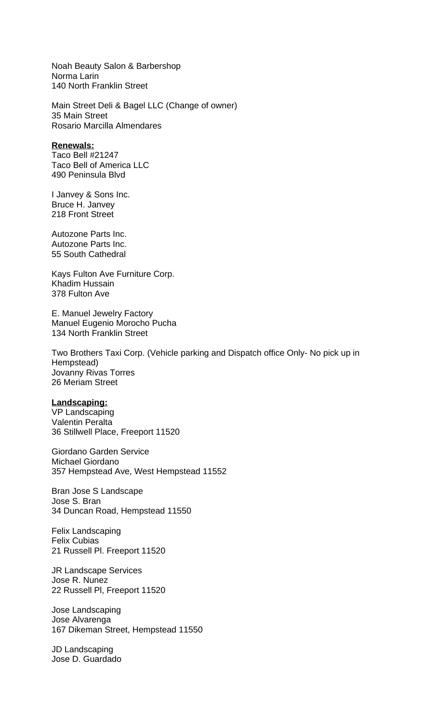Noah Beauty Salon & Barbershop Norma Larin 140 North Franklin Street

Main Street Deli & Bagel LLC (Change of owner) 35 Main Street Rosario Marcilla Almendares

### **Renewals:**

Taco Bell #21247 Taco Bell of America LLC 490 Peninsula Blvd

I Janvey & Sons Inc. Bruce H. Janvey 218 Front Street

Autozone Parts Inc. Autozone Parts Inc. 55 South Cathedral

Kays Fulton Ave Furniture Corp. Khadim Hussain 378 Fulton Ave

E. Manuel Jewelry Factory Manuel Eugenio Morocho Pucha 134 North Franklin Street

Two Brothers Taxi Corp. (Vehicle parking and Dispatch office Only- No pick up in Hempstead) Jovanny Rivas Torres 26 Meriam Street

### **Landscaping:**

VP Landscaping Valentin Peralta 36 Stillwell Place, Freeport 11520

Giordano Garden Service Michael Giordano 357 Hempstead Ave, West Hempstead 11552

Bran Jose S Landscape Jose S. Bran 34 Duncan Road, Hempstead 11550

Felix Landscaping Felix Cubias 21 Russell Pl. Freeport 11520

JR Landscape Services Jose R. Nunez 22 Russell Pl, Freeport 11520

Jose Landscaping Jose Alvarenga 167 Dikeman Street, Hempstead 11550

JD Landscaping Jose D. Guardado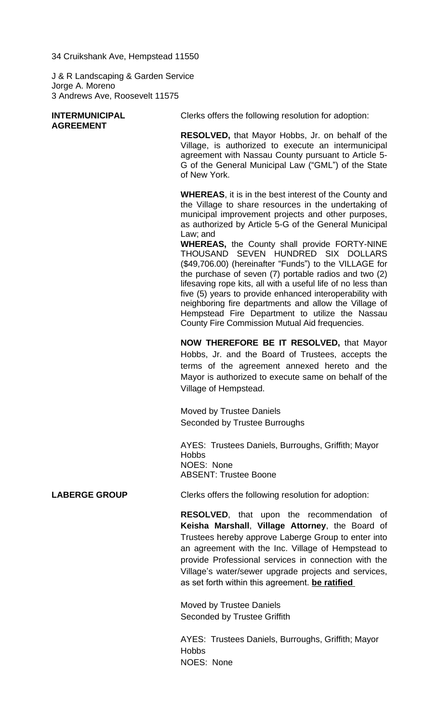34 Cruikshank Ave, Hempstead 11550

J & R Landscaping & Garden Service Jorge A. Moreno 3 Andrews Ave, Roosevelt 11575

| <b>INTERMUNICIPAL</b> | Clerks offers the following resolution for adoption:                                                                                                                                                                                                                                                                                                                                                                                                                                                                                                                                                                                                                                                                                                      |
|-----------------------|-----------------------------------------------------------------------------------------------------------------------------------------------------------------------------------------------------------------------------------------------------------------------------------------------------------------------------------------------------------------------------------------------------------------------------------------------------------------------------------------------------------------------------------------------------------------------------------------------------------------------------------------------------------------------------------------------------------------------------------------------------------|
| <b>AGREEMENT</b>      | <b>RESOLVED, that Mayor Hobbs, Jr. on behalf of the</b><br>Village, is authorized to execute an intermunicipal<br>agreement with Nassau County pursuant to Article 5-<br>G of the General Municipal Law ("GML") of the State<br>of New York.                                                                                                                                                                                                                                                                                                                                                                                                                                                                                                              |
|                       | <b>WHEREAS, it is in the best interest of the County and</b><br>the Village to share resources in the undertaking of<br>municipal improvement projects and other purposes,<br>as authorized by Article 5-G of the General Municipal<br>Law; and<br><b>WHEREAS, the County shall provide FORTY-NINE</b><br>THOUSAND SEVEN HUNDRED SIX DOLLARS<br>(\$49,706.00) (hereinafter "Funds") to the VILLAGE for<br>the purchase of seven (7) portable radios and two (2)<br>lifesaving rope kits, all with a useful life of no less than<br>five (5) years to provide enhanced interoperability with<br>neighboring fire departments and allow the Village of<br>Hempstead Fire Department to utilize the Nassau<br>County Fire Commission Mutual Aid frequencies. |
|                       | <b>NOW THEREFORE BE IT RESOLVED, that Mayor</b><br>Hobbs, Jr. and the Board of Trustees, accepts the<br>terms of the agreement annexed hereto and the<br>Mayor is authorized to execute same on behalf of the<br>Village of Hempstead.                                                                                                                                                                                                                                                                                                                                                                                                                                                                                                                    |
|                       | Moved by Trustee Daniels<br>Seconded by Trustee Burroughs                                                                                                                                                                                                                                                                                                                                                                                                                                                                                                                                                                                                                                                                                                 |
|                       | AYES: Trustees Daniels, Burroughs, Griffith; Mayor<br><b>Hobbs</b><br>NOES: None<br><b>ABSENT: Trustee Boone</b>                                                                                                                                                                                                                                                                                                                                                                                                                                                                                                                                                                                                                                          |
| <b>LABERGE GROUP</b>  | Clerks offers the following resolution for adoption:                                                                                                                                                                                                                                                                                                                                                                                                                                                                                                                                                                                                                                                                                                      |
|                       | RESOLVED, that upon the recommendation of<br>Keisha Marshall, Village Attorney, the Board of<br>Trustees hereby approve Laberge Group to enter into<br>an agreement with the Inc. Village of Hempstead to<br>provide Professional services in connection with the<br>Village's water/sewer upgrade projects and services,<br>as set forth within this agreement. be ratified                                                                                                                                                                                                                                                                                                                                                                              |
|                       | Moved by Trustee Daniels<br><b>Seconded by Trustee Griffith</b>                                                                                                                                                                                                                                                                                                                                                                                                                                                                                                                                                                                                                                                                                           |
|                       | AYES: Trustees Daniels, Burroughs, Griffith; Mayor<br><b>Hobbs</b>                                                                                                                                                                                                                                                                                                                                                                                                                                                                                                                                                                                                                                                                                        |

NOES: None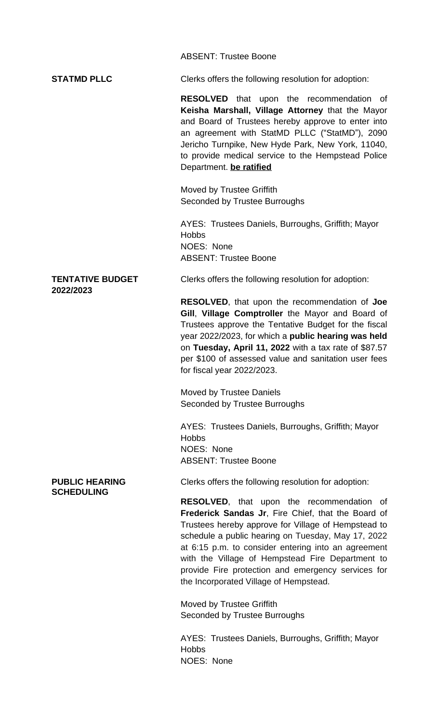|                                            | <b>ABSENT: Trustee Boone</b>                                                                                                                                                                                                                                                                                                                                                                                                   |  |  |
|--------------------------------------------|--------------------------------------------------------------------------------------------------------------------------------------------------------------------------------------------------------------------------------------------------------------------------------------------------------------------------------------------------------------------------------------------------------------------------------|--|--|
| <b>STATMD PLLC</b>                         | Clerks offers the following resolution for adoption:                                                                                                                                                                                                                                                                                                                                                                           |  |  |
|                                            | <b>RESOLVED</b> that upon the recommendation of<br>Keisha Marshall, Village Attorney that the Mayor<br>and Board of Trustees hereby approve to enter into<br>an agreement with StatMD PLLC ("StatMD"), 2090<br>Jericho Turnpike, New Hyde Park, New York, 11040,<br>to provide medical service to the Hempstead Police<br>Department. be ratified                                                                              |  |  |
|                                            | Moved by Trustee Griffith<br>Seconded by Trustee Burroughs                                                                                                                                                                                                                                                                                                                                                                     |  |  |
|                                            | AYES: Trustees Daniels, Burroughs, Griffith; Mayor<br><b>Hobbs</b><br>NOES: None<br><b>ABSENT: Trustee Boone</b>                                                                                                                                                                                                                                                                                                               |  |  |
| <b>TENTATIVE BUDGET</b><br>2022/2023       | Clerks offers the following resolution for adoption:                                                                                                                                                                                                                                                                                                                                                                           |  |  |
|                                            | <b>RESOLVED, that upon the recommendation of Joe</b><br>Gill, Village Comptroller the Mayor and Board of<br>Trustees approve the Tentative Budget for the fiscal<br>year 2022/2023, for which a public hearing was held<br>on Tuesday, April 11, 2022 with a tax rate of \$87.57<br>per \$100 of assessed value and sanitation user fees<br>for fiscal year 2022/2023.                                                         |  |  |
|                                            | <b>Moved by Trustee Daniels</b><br>Seconded by Trustee Burroughs                                                                                                                                                                                                                                                                                                                                                               |  |  |
|                                            | AYES: Trustees Daniels, Burroughs, Griffith; Mayor<br><b>Hobbs</b><br>NOES: None<br><b>ABSENT: Trustee Boone</b>                                                                                                                                                                                                                                                                                                               |  |  |
| <b>PUBLIC HEARING</b><br><b>SCHEDULING</b> | Clerks offers the following resolution for adoption:                                                                                                                                                                                                                                                                                                                                                                           |  |  |
|                                            | <b>RESOLVED,</b> that upon the recommendation of<br>Frederick Sandas Jr, Fire Chief, that the Board of<br>Trustees hereby approve for Village of Hempstead to<br>schedule a public hearing on Tuesday, May 17, 2022<br>at 6:15 p.m. to consider entering into an agreement<br>with the Village of Hempstead Fire Department to<br>provide Fire protection and emergency services for<br>the Incorporated Village of Hempstead. |  |  |
|                                            | Moved by Trustee Griffith<br>Seconded by Trustee Burroughs                                                                                                                                                                                                                                                                                                                                                                     |  |  |
|                                            | AYES: Trustees Daniels, Burroughs, Griffith; Mayor<br><b>Hobbs</b>                                                                                                                                                                                                                                                                                                                                                             |  |  |

NOES: None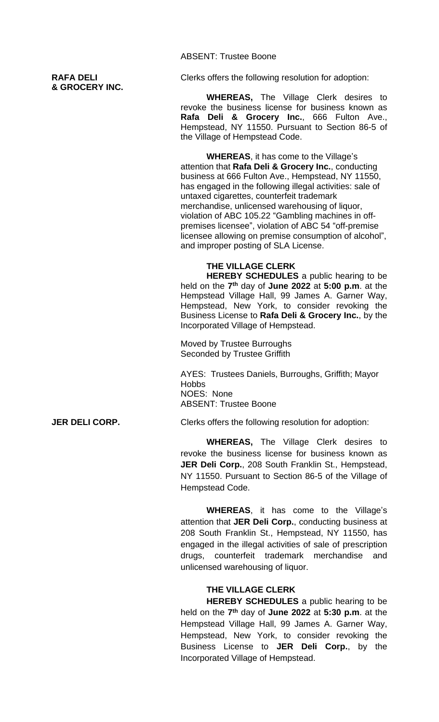**& GROCERY INC.**

ABSENT: Trustee Boone

**RAFA DELI Clerks offers the following resolution for adoption:** 

**WHEREAS,** The Village Clerk desires to revoke the business license for business known as **Rafa Deli & Grocery Inc.**, 666 Fulton Ave., Hempstead, NY 11550. Pursuant to Section 86-5 of the Village of Hempstead Code.

**WHEREAS**, it has come to the Village's attention that **Rafa Deli & Grocery Inc.**, conducting business at 666 Fulton Ave., Hempstead, NY 11550, has engaged in the following illegal activities: sale of untaxed cigarettes, counterfeit trademark merchandise, unlicensed warehousing of liquor, violation of ABC 105.22 "Gambling machines in offpremises licensee", violation of ABC 54 "off-premise licensee allowing on premise consumption of alcohol", and improper posting of SLA License.

### **THE VILLAGE CLERK**

**HEREBY SCHEDULES** a public hearing to be held on the **7 th** day of **June 2022** at **5:00 p.m**. at the Hempstead Village Hall, 99 James A. Garner Way, Hempstead, New York, to consider revoking the Business License to **Rafa Deli & Grocery Inc.**, by the Incorporated Village of Hempstead.

Moved by Trustee Burroughs Seconded by Trustee Griffith

AYES: Trustees Daniels, Burroughs, Griffith; Mayor Hobbs NOES: None ABSENT: Trustee Boone

**JER DELI CORP.** Clerks offers the following resolution for adoption:

**WHEREAS,** The Village Clerk desires to revoke the business license for business known as **JER Deli Corp.**, 208 South Franklin St., Hempstead, NY 11550. Pursuant to Section 86-5 of the Village of Hempstead Code.

**WHEREAS**, it has come to the Village's attention that **JER Deli Corp.**, conducting business at 208 South Franklin St., Hempstead, NY 11550, has engaged in the illegal activities of sale of prescription drugs, counterfeit trademark merchandise and unlicensed warehousing of liquor.

### **THE VILLAGE CLERK**

**HEREBY SCHEDULES** a public hearing to be held on the **7 th** day of **June 2022** at **5:30 p.m**. at the Hempstead Village Hall, 99 James A. Garner Way, Hempstead, New York, to consider revoking the Business License to **JER Deli Corp.**, by the Incorporated Village of Hempstead.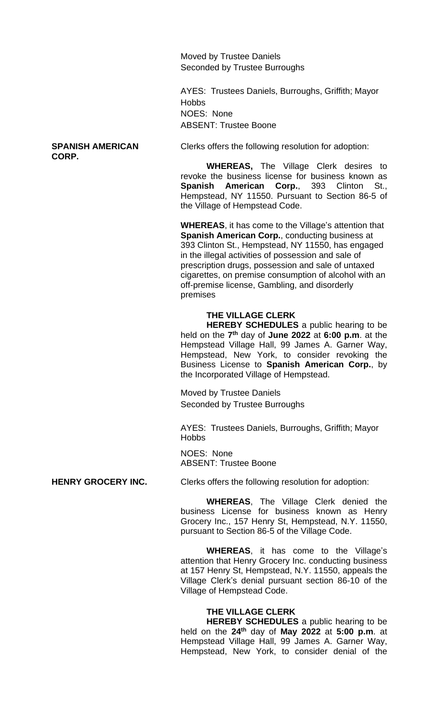Moved by Trustee Daniels Seconded by Trustee Burroughs

AYES: Trustees Daniels, Burroughs, Griffith; Mayor **Hobbs** NOES: None ABSENT: Trustee Boone

## **CORP.**

**SPANISH AMERICAN** Clerks offers the following resolution for adoption:

**WHEREAS,** The Village Clerk desires to revoke the business license for business known as **Spanish American Corp.**, 393 Clinton St., Hempstead, NY 11550. Pursuant to Section 86-5 of the Village of Hempstead Code.

**WHEREAS**, it has come to the Village's attention that **Spanish American Corp.**, conducting business at 393 Clinton St., Hempstead, NY 11550, has engaged in the illegal activities of possession and sale of prescription drugs, possession and sale of untaxed cigarettes, on premise consumption of alcohol with an off-premise license, Gambling, and disorderly premises

### **THE VILLAGE CLERK**

**HEREBY SCHEDULES** a public hearing to be held on the **7 th** day of **June 2022** at **6:00 p.m**. at the Hempstead Village Hall, 99 James A. Garner Way, Hempstead, New York, to consider revoking the Business License to **Spanish American Corp.**, by the Incorporated Village of Hempstead.

Moved by Trustee Daniels Seconded by Trustee Burroughs

AYES: Trustees Daniels, Burroughs, Griffith; Mayor **Hobbs** 

NOES: None ABSENT: Trustee Boone

**HENRY GROCERY INC.** Clerks offers the following resolution for adoption:

**WHEREAS**, The Village Clerk denied the business License for business known as Henry Grocery Inc., 157 Henry St, Hempstead, N.Y. 11550, pursuant to Section 86-5 of the Village Code.

**WHEREAS**, it has come to the Village's attention that Henry Grocery Inc. conducting business at 157 Henry St, Hempstead, N.Y. 11550, appeals the Village Clerk's denial pursuant section 86-10 of the Village of Hempstead Code.

### **THE VILLAGE CLERK**

**HEREBY SCHEDULES** a public hearing to be held on the **24th** day of **May 2022** at **5:00 p.m**. at Hempstead Village Hall, 99 James A. Garner Way, Hempstead, New York, to consider denial of the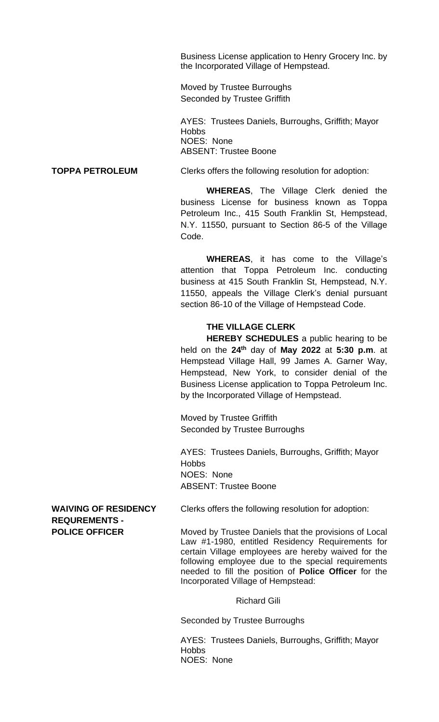Business License application to Henry Grocery Inc. by the Incorporated Village of Hempstead.

Moved by Trustee Burroughs Seconded by Trustee Griffith

AYES: Trustees Daniels, Burroughs, Griffith; Mayor **Hobbs** NOES: None ABSENT: Trustee Boone

**TOPPA PETROLEUM** Clerks offers the following resolution for adoption:

**WHEREAS**, The Village Clerk denied the business License for business known as Toppa Petroleum Inc., 415 South Franklin St, Hempstead, N.Y. 11550, pursuant to Section 86-5 of the Village Code.

**WHEREAS**, it has come to the Village's attention that Toppa Petroleum Inc. conducting business at 415 South Franklin St, Hempstead, N.Y. 11550, appeals the Village Clerk's denial pursuant section 86-10 of the Village of Hempstead Code.

### **THE VILLAGE CLERK**

**HEREBY SCHEDULES** a public hearing to be held on the **24th** day of **May 2022** at **5:30 p.m**. at Hempstead Village Hall, 99 James A. Garner Way, Hempstead, New York, to consider denial of the Business License application to Toppa Petroleum Inc. by the Incorporated Village of Hempstead.

Moved by Trustee Griffith Seconded by Trustee Burroughs

AYES: Trustees Daniels, Burroughs, Griffith; Mayor Hobbs NOES: None ABSENT: Trustee Boone

**REQUREMENTS -**

**WAIVING OF RESIDENCY** Clerks offers the following resolution for adoption:

**POLICE OFFICER** Moved by Trustee Daniels that the provisions of Local Law #1-1980, entitled Residency Requirements for certain Village employees are hereby waived for the following employee due to the special requirements needed to fill the position of **Police Officer** for the Incorporated Village of Hempstead:

### Richard Gili

Seconded by Trustee Burroughs

AYES: Trustees Daniels, Burroughs, Griffith; Mayor **Hobbs** NOES: None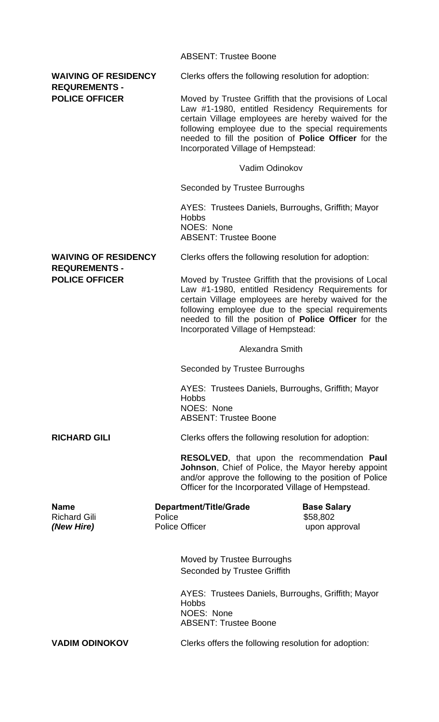|                                                                              |        | <b>ABSENT: Trustee Boone</b>                                                                                                                                                                                                                                                                                                  |                                |
|------------------------------------------------------------------------------|--------|-------------------------------------------------------------------------------------------------------------------------------------------------------------------------------------------------------------------------------------------------------------------------------------------------------------------------------|--------------------------------|
| <b>WAIVING OF RESIDENCY</b><br><b>REQUREMENTS -</b><br><b>POLICE OFFICER</b> |        | Clerks offers the following resolution for adoption:                                                                                                                                                                                                                                                                          |                                |
|                                                                              |        | Moved by Trustee Griffith that the provisions of Local<br>Law #1-1980, entitled Residency Requirements for<br>certain Village employees are hereby waived for the<br>following employee due to the special requirements<br>needed to fill the position of <b>Police Officer</b> for the<br>Incorporated Village of Hempstead: |                                |
|                                                                              |        | Vadim Odinokov                                                                                                                                                                                                                                                                                                                |                                |
|                                                                              |        | Seconded by Trustee Burroughs                                                                                                                                                                                                                                                                                                 |                                |
|                                                                              |        | AYES: Trustees Daniels, Burroughs, Griffith; Mayor<br><b>Hobbs</b><br>NOES: None<br><b>ABSENT: Trustee Boone</b>                                                                                                                                                                                                              |                                |
| <b>WAIVING OF RESIDENCY</b>                                                  |        | Clerks offers the following resolution for adoption:                                                                                                                                                                                                                                                                          |                                |
| <b>REQUREMENTS -</b><br><b>POLICE OFFICER</b>                                |        | Moved by Trustee Griffith that the provisions of Local<br>Law #1-1980, entitled Residency Requirements for<br>certain Village employees are hereby waived for the<br>following employee due to the special requirements<br>needed to fill the position of Police Officer for the<br>Incorporated Village of Hempstead:        |                                |
|                                                                              |        | Alexandra Smith                                                                                                                                                                                                                                                                                                               |                                |
|                                                                              |        | Seconded by Trustee Burroughs                                                                                                                                                                                                                                                                                                 |                                |
|                                                                              |        | AYES: Trustees Daniels, Burroughs, Griffith; Mayor<br><b>Hobbs</b><br>NOES: None<br><b>ABSENT: Trustee Boone</b>                                                                                                                                                                                                              |                                |
| <b>RICHARD GILI</b>                                                          |        | Clerks offers the following resolution for adoption:                                                                                                                                                                                                                                                                          |                                |
|                                                                              |        | RESOLVED, that upon the recommendation Paul<br>Johnson, Chief of Police, the Mayor hereby appoint<br>and/or approve the following to the position of Police<br>Officer for the Incorporated Village of Hempstead.                                                                                                             |                                |
| <b>Name</b><br><b>Richard Gili</b>                                           | Police | <b>Department/Title/Grade</b>                                                                                                                                                                                                                                                                                                 | <b>Base Salary</b><br>\$58,802 |
| (New Hire)                                                                   |        | <b>Police Officer</b>                                                                                                                                                                                                                                                                                                         | upon approval                  |
|                                                                              |        | Moved by Trustee Burroughs<br>Seconded by Trustee Griffith                                                                                                                                                                                                                                                                    |                                |
|                                                                              |        | AYES: Trustees Daniels, Burroughs, Griffith; Mayor<br><b>Hobbs</b><br>NOES: None<br><b>ABSENT: Trustee Boone</b>                                                                                                                                                                                                              |                                |
| <b>VADIM ODINOKOV</b>                                                        |        | Clerks offers the following resolution for adoption:                                                                                                                                                                                                                                                                          |                                |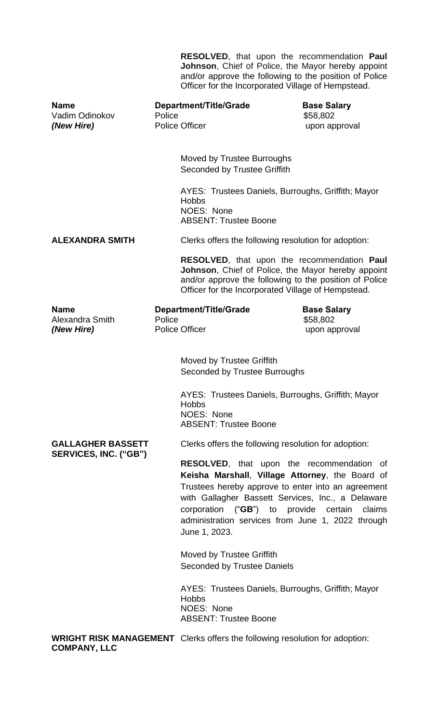|                                             |        | <b>RESOLVED,</b> that upon the recommendation <b>Paul</b><br>Johnson, Chief of Police, the Mayor hereby appoint<br>and/or approve the following to the position of Police<br>Officer for the Incorporated Village of Hempstead.                                                                                                                        |                                                 |  |
|---------------------------------------------|--------|--------------------------------------------------------------------------------------------------------------------------------------------------------------------------------------------------------------------------------------------------------------------------------------------------------------------------------------------------------|-------------------------------------------------|--|
| <b>Name</b><br>Vadim Odinokov<br>(New Hire) | Police | Department/Title/Grade<br><b>Police Officer</b>                                                                                                                                                                                                                                                                                                        | <b>Base Salary</b><br>\$58,802<br>upon approval |  |
|                                             |        | Moved by Trustee Burroughs<br><b>Seconded by Trustee Griffith</b>                                                                                                                                                                                                                                                                                      |                                                 |  |
|                                             |        | AYES: Trustees Daniels, Burroughs, Griffith; Mayor<br><b>Hobbs</b><br>NOES: None<br><b>ABSENT: Trustee Boone</b>                                                                                                                                                                                                                                       |                                                 |  |
| <b>ALEXANDRA SMITH</b>                      |        | Clerks offers the following resolution for adoption:                                                                                                                                                                                                                                                                                                   |                                                 |  |
|                                             |        | RESOLVED, that upon the recommendation Paul<br>Johnson, Chief of Police, the Mayor hereby appoint<br>and/or approve the following to the position of Police<br>Officer for the Incorporated Village of Hempstead.                                                                                                                                      |                                                 |  |
| <b>Name</b><br>Alexandra Smith              | Police | <b>Department/Title/Grade</b>                                                                                                                                                                                                                                                                                                                          | <b>Base Salary</b><br>\$58,802                  |  |
| (New Hire)                                  |        | <b>Police Officer</b>                                                                                                                                                                                                                                                                                                                                  | upon approval                                   |  |
|                                             |        | Moved by Trustee Griffith<br>Seconded by Trustee Burroughs<br>AYES: Trustees Daniels, Burroughs, Griffith; Mayor                                                                                                                                                                                                                                       |                                                 |  |
|                                             |        | <b>Hobbs</b><br>NOES: None<br><b>ABSENT: Trustee Boone</b>                                                                                                                                                                                                                                                                                             |                                                 |  |
| <b>GALLAGHER BASSETT</b>                    |        | Clerks offers the following resolution for adoption:                                                                                                                                                                                                                                                                                                   |                                                 |  |
| SERVICES, INC. ("GB")                       |        | <b>RESOLVED,</b> that upon the recommendation of<br>Keisha Marshall, Village Attorney, the Board of<br>Trustees hereby approve to enter into an agreement<br>with Gallagher Bassett Services, Inc., a Delaware<br>corporation (" <b>GB</b> ") to<br>provide<br>certain<br>claims<br>administration services from June 1, 2022 through<br>June 1, 2023. |                                                 |  |
|                                             |        | Moved by Trustee Griffith<br><b>Seconded by Trustee Daniels</b>                                                                                                                                                                                                                                                                                        |                                                 |  |
|                                             |        | AYES: Trustees Daniels, Burroughs, Griffith; Mayor<br><b>Hobbs</b><br>NOES: None<br><b>ABSENT: Trustee Boone</b>                                                                                                                                                                                                                                       |                                                 |  |
| <b>COMPANY, LLC</b>                         |        | <b>WRIGHT RISK MANAGEMENT</b> Clerks offers the following resolution for adoption:                                                                                                                                                                                                                                                                     |                                                 |  |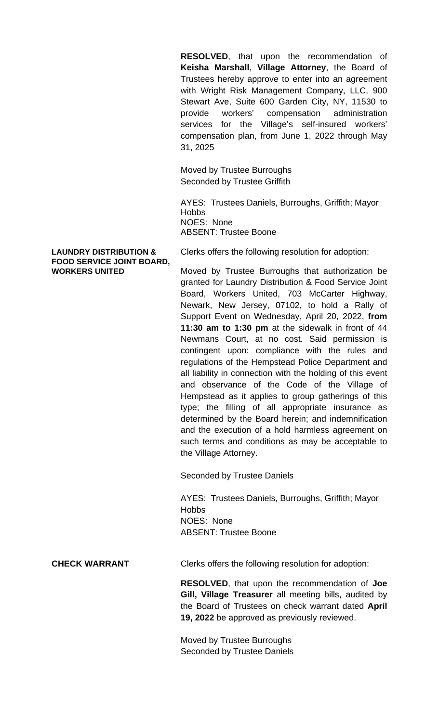**RESOLVED**, that upon the recommendation of **Keisha Marshall**, **Village Attorney**, the Board of Trustees hereby approve to enter into an agreement with Wright Risk Management Company, LLC, 900 Stewart Ave, Suite 600 Garden City, NY, 11530 to provide workers' compensation administration services for the Village's self-insured workers' compensation plan, from June 1, 2022 through May 31, 2025

Moved by Trustee Burroughs Seconded by Trustee Griffith

AYES: Trustees Daniels, Burroughs, Griffith; Mayor **Hobbs** NOES: None ABSENT: Trustee Boone

# **FOOD SERVICE JOINT BOARD,**

**LAUNDRY DISTRIBUTION &** Clerks offers the following resolution for adoption:

**WORKERS UNITED** Moved by Trustee Burroughs that authorization be granted for Laundry Distribution & Food Service Joint Board, Workers United, 703 McCarter Highway, Newark, New Jersey, 07102, to hold a Rally of Support Event on Wednesday, April 20, 2022, **from 11:30 am to 1:30 pm** at the sidewalk in front of 44 Newmans Court, at no cost. Said permission is contingent upon: compliance with the rules and regulations of the Hempstead Police Department and all liability in connection with the holding of this event and observance of the Code of the Village of Hempstead as it applies to group gatherings of this type; the filling of all appropriate insurance as determined by the Board herein; and indemnification and the execution of a hold harmless agreement on such terms and conditions as may be acceptable to the Village Attorney.

Seconded by Trustee Daniels

AYES: Trustees Daniels, Burroughs, Griffith; Mayor Hobbs NOES: None ABSENT: Trustee Boone

**CHECK WARRANT** Clerks offers the following resolution for adoption:

**RESOLVED**, that upon the recommendation of **Joe Gill, Village Treasurer** all meeting bills, audited by the Board of Trustees on check warrant dated **April 19, 2022** be approved as previously reviewed.

Moved by Trustee Burroughs Seconded by Trustee Daniels